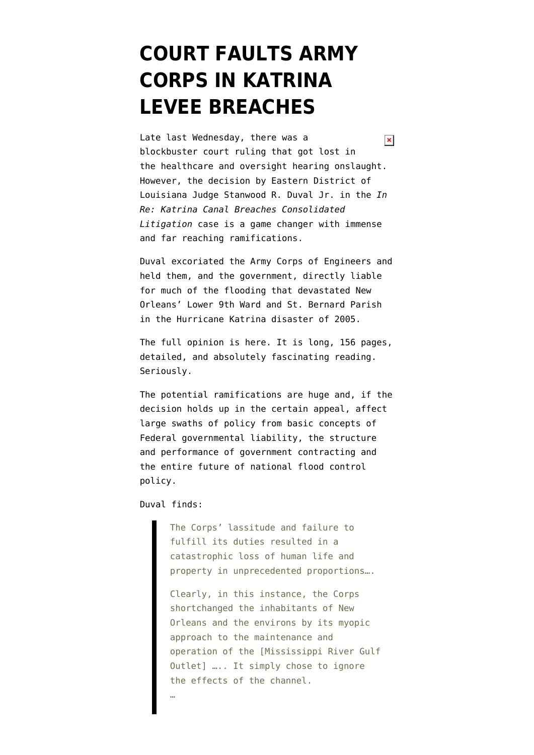## **[COURT FAULTS ARMY](https://www.emptywheel.net/2009/11/22/court-faults-army-corps-in-katrina-levee-breaches/) [CORPS IN KATRINA](https://www.emptywheel.net/2009/11/22/court-faults-army-corps-in-katrina-levee-breaches/) [LEVEE BREACHES](https://www.emptywheel.net/2009/11/22/court-faults-army-corps-in-katrina-levee-breaches/)**

Late last Wednesday, there was a  $\pmb{\times}$ blockbuster court ruling that got lost in the healthcare and oversight hearing onslaught. However, the decision by Eastern District of Louisiana Judge Stanwood R. Duval Jr. in the *In Re: Katrina Canal Breaches Consolidated Litigation* case is a game changer with immense and far reaching ramifications.

Duval excoriated the Army Corps of Engineers and held them, and the government, directly liable for much of the flooding that devastated New Orleans' Lower 9th Ward and St. Bernard Parish in the Hurricane Katrina disaster of 2005.

The [full opinion is here.](http://www.wdsu.com/download/2009/1119/21658307.pdf) It is long, 156 pages, detailed, and absolutely fascinating reading. Seriously.

The potential ramifications are huge and, if the decision holds up in the certain appeal, affect large swaths of policy from basic concepts of Federal governmental liability, the structure and performance of government contracting and the entire future of national flood control policy.

Duval finds:

The Corps' lassitude and failure to fulfill its duties resulted in a catastrophic loss of human life and property in unprecedented proportions….

Clearly, in this instance, the Corps shortchanged the inhabitants of New Orleans and the environs by its myopic approach to the maintenance and operation of the [Mississippi River Gulf Outlet] ….. It simply chose to ignore the effects of the channel.

…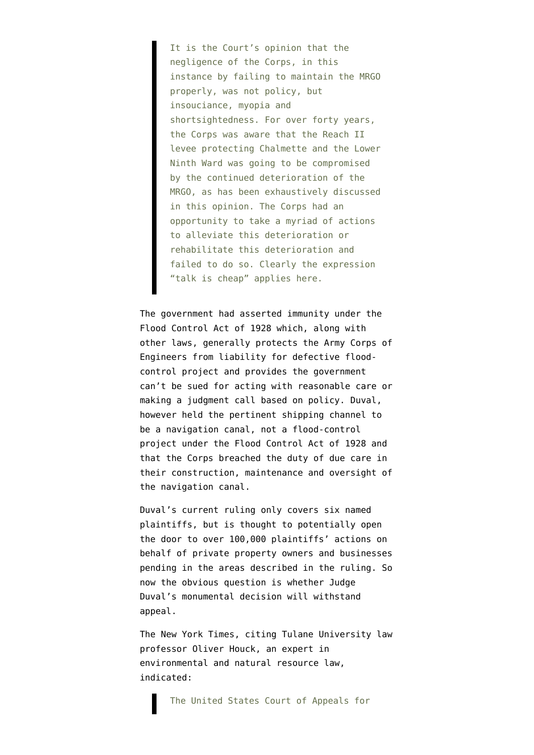It is the Court's opinion that the negligence of the Corps, in this instance by failing to maintain the MRGO properly, was not policy, but insouciance, myopia and shortsightedness. For over forty years, the Corps was aware that the Reach II levee protecting Chalmette and the Lower Ninth Ward was going to be compromised by the continued deterioration of the MRGO, as has been exhaustively discussed in this opinion. The Corps had an opportunity to take a myriad of actions to alleviate this deterioration or rehabilitate this deterioration and failed to do so. Clearly the expression "talk is cheap" applies here.

The government had asserted immunity under the [Flood Control Act of 1928](http://en.wikipedia.org/wiki/Flood_Control_Act_of_1928) which, along with other laws, generally protects the Army Corps of Engineers from liability for defective floodcontrol project and provides the government can't be sued for acting with reasonable care or making a judgment call based on policy. Duval, however held the pertinent shipping channel to be a navigation canal, not a flood-control project under the Flood Control Act of 1928 and that the Corps breached the duty of due care in their construction, maintenance and oversight of the navigation canal.

Duval's current ruling only covers six named plaintiffs, but is thought to potentially open the door to over 100,000 plaintiffs' actions on behalf of private property owners and businesses pending in the areas described in the ruling. So now the obvious question is whether Judge Duval's monumental decision will withstand appeal.

The [New York Times,](http://www.nytimes.com/2009/11/20/us/20orleans.html) citing Tulane University law professor Oliver Houck, an expert in environmental and natural resource law, indicated: